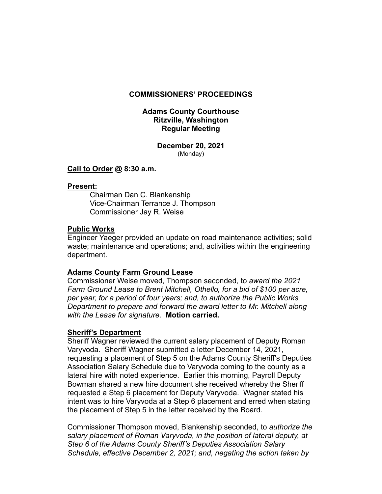## **COMMISSIONERS' PROCEEDINGS**

## **Adams County Courthouse Ritzville, Washington Regular Meeting**

**December 20, 2021**  (Monday)

### **Call to Order @ 8:30 a.m.**

#### **Present:**

 Chairman Dan C. Blankenship Vice-Chairman Terrance J. Thompson Commissioner Jay R. Weise

## **Public Works**

Engineer Yaeger provided an update on road maintenance activities; solid waste; maintenance and operations; and, activities within the engineering department.

### **Adams County Farm Ground Lease**

Commissioner Weise moved, Thompson seconded, to *award the 2021 Farm Ground Lease to Brent Mitchell, Othello, for a bid of \$100 per acre, per year, for a period of four years; and, to authorize the Public Works Department to prepare and forward the award letter to Mr. Mitchell along with the Lease for signature.* **Motion carried.** 

### **Sheriff's Department**

Sheriff Wagner reviewed the current salary placement of Deputy Roman Varyvoda. Sheriff Wagner submitted a letter December 14, 2021, requesting a placement of Step 5 on the Adams County Sheriff's Deputies Association Salary Schedule due to Varyvoda coming to the county as a lateral hire with noted experience. Earlier this morning, Payroll Deputy Bowman shared a new hire document she received whereby the Sheriff requested a Step 6 placement for Deputy Varyvoda. Wagner stated his intent was to hire Varyvoda at a Step 6 placement and erred when stating the placement of Step 5 in the letter received by the Board.

Commissioner Thompson moved, Blankenship seconded, to *authorize the salary placement of Roman Varyvoda, in the position of lateral deputy, at Step 6 of the Adams County Sheriff's Deputies Association Salary Schedule, effective December 2, 2021; and, negating the action taken by*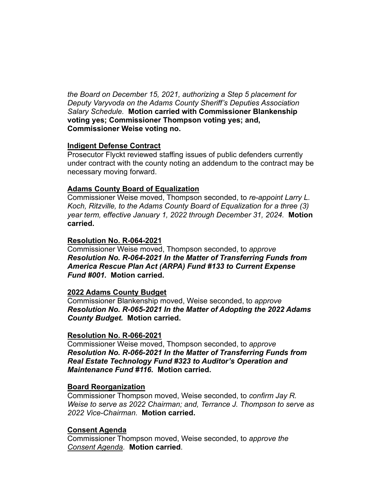*the Board on December 15, 2021, authorizing a Step 5 placement for Deputy Varyvoda on the Adams County Sheriff's Deputies Association Salary Schedule.* **Motion carried with Commissioner Blankenship voting yes; Commissioner Thompson voting yes; and, Commissioner Weise voting no.** 

## **Indigent Defense Contract**

Prosecutor Flyckt reviewed staffing issues of public defenders currently under contract with the county noting an addendum to the contract may be necessary moving forward.

# **Adams County Board of Equalization**

Commissioner Weise moved, Thompson seconded, to *re-appoint Larry L. Koch, Ritzville, to the Adams County Board of Equalization for a three (3) year term, effective January 1, 2022 through December 31, 2024.* **Motion carried.** 

## **Resolution No. R-064-2021**

Commissioner Weise moved, Thompson seconded, to *approve Resolution No. R-064-2021 In the Matter of Transferring Funds from America Rescue Plan Act (ARPA) Fund #133 to Current Expense Fund #001.* **Motion carried.** 

### **2022 Adams County Budget**

Commissioner Blankenship moved, Weise seconded, to *approve Resolution No. R-065-2021 In the Matter of Adopting the 2022 Adams County Budget.* **Motion carried.** 

### **Resolution No. R-066-2021**

Commissioner Weise moved, Thompson seconded, to *approve Resolution No. R-066-2021 In the Matter of Transferring Funds from Real Estate Technology Fund #323 to Auditor's Operation and Maintenance Fund #116.* **Motion carried.** 

# **Board Reorganization**

Commissioner Thompson moved, Weise seconded, to *confirm Jay R. Weise to serve as 2022 Chairman; and, Terrance J. Thompson to serve as 2022 Vice-Chairman.* **Motion carried.** 

# **Consent Agenda**

Commissioner Thompson moved, Weise seconded, to *approve the Consent Agenda.* **Motion carried**.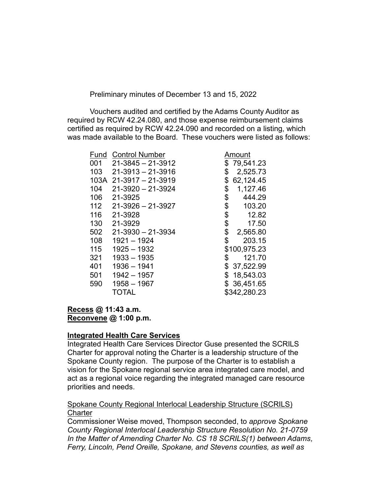Preliminary minutes of December 13 and 15, 2022

Vouchers audited and certified by the Adams County Auditor as required by RCW 42.24.080, and those expense reimbursement claims certified as required by RCW 42.24.090 and recorded on a listing, which was made available to the Board. These vouchers were listed as follows:

| Fund | <b>Control Number</b>   | Amount          |
|------|-------------------------|-----------------|
| 001  | $21 - 3845 - 21 - 3912$ | \$<br>79,541.23 |
| 103  | $21 - 3913 - 21 - 3916$ | \$<br>2,525.73  |
|      | 103A 21-3917 - 21-3919  | \$<br>62,124.45 |
| 104  | $21 - 3920 - 21 - 3924$ | \$<br>1,127.46  |
| 106  | 21-3925                 | \$<br>444.29    |
| 112  | $21 - 3926 - 21 - 3927$ | \$<br>103.20    |
| 116  | 21-3928                 | \$<br>12.82     |
| 130  | 21-3929                 | \$<br>17.50     |
| 502  | $21 - 3930 - 21 - 3934$ | \$<br>2,565.80  |
| 108  | $1921 - 1924$           | \$<br>203.15    |
| 115  | $1925 - 1932$           | \$100,975.23    |
| 321  | $1933 - 1935$           | \$<br>121.70    |
| 401  | $1936 - 1941$           | \$37,522.99     |
| 501  | $1942 - 1957$           | \$<br>18,543.03 |
| 590  | $1958 - 1967$           | \$36,451.65     |
|      | TOTAL                   | \$342,280.23    |

# **Recess @ 11:43 a.m. Reconvene @ 1:00 p.m.**

### **Integrated Health Care Services**

Integrated Health Care Services Director Guse presented the SCRILS Charter for approval noting the Charter is a leadership structure of the Spokane County region. The purpose of the Charter is to establish a vision for the Spokane regional service area integrated care model, and act as a regional voice regarding the integrated managed care resource priorities and needs.

## Spokane County Regional Interlocal Leadership Structure (SCRILS) **Charter**

Commissioner Weise moved, Thompson seconded, to *approve Spokane County Regional Interlocal Leadership Structure Resolution No. 21-0759 In the Matter of Amending Charter No. CS 18 SCRILS(1) between Adams, Ferry, Lincoln, Pend Oreille, Spokane, and Stevens counties, as well as*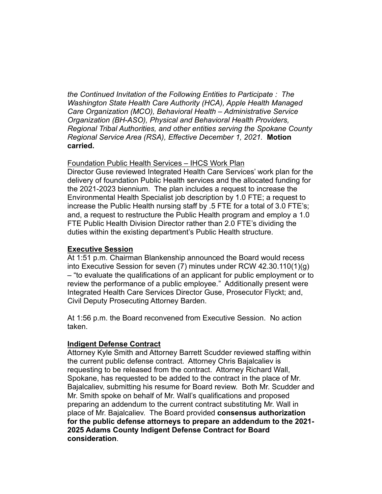*the Continued Invitation of the Following Entities to Participate : The Washington State Health Care Authority (HCA), Apple Health Managed Care Organization (MCO), Behavioral Health – Administrative Service Organization (BH-ASO), Physical and Behavioral Health Providers, Regional Tribal Authorities, and other entities serving the Spokane County Regional Service Area (RSA), Effective December 1, 2021.* **Motion carried.**

## Foundation Public Health Services – IHCS Work Plan

Director Guse reviewed Integrated Health Care Services' work plan for the delivery of foundation Public Health services and the allocated funding for the 2021-2023 biennium. The plan includes a request to increase the Environmental Health Specialist job description by 1.0 FTE; a request to increase the Public Health nursing staff by .5 FTE for a total of 3.0 FTE's; and, a request to restructure the Public Health program and employ a 1.0 FTE Public Health Division Director rather than 2.0 FTE's dividing the duties within the existing department's Public Health structure.

## **Executive Session**

At 1:51 p.m. Chairman Blankenship announced the Board would recess into Executive Session for seven (7) minutes under RCW 42.30.110(1)(g) – "to evaluate the qualifications of an applicant for public employment or to review the performance of a public employee." Additionally present were Integrated Health Care Services Director Guse, Prosecutor Flyckt; and, Civil Deputy Prosecuting Attorney Barden.

At 1:56 p.m. the Board reconvened from Executive Session. No action taken.

# **Indigent Defense Contract**

Attorney Kyle Smith and Attorney Barrett Scudder reviewed staffing within the current public defense contract. Attorney Chris Bajalcaliev is requesting to be released from the contract. Attorney Richard Wall, Spokane, has requested to be added to the contract in the place of Mr. Bajalcaliev, submitting his resume for Board review. Both Mr. Scudder and Mr. Smith spoke on behalf of Mr. Wall's qualifications and proposed preparing an addendum to the current contract substituting Mr. Wall in place of Mr. Bajalcaliev. The Board provided **consensus authorization for the public defense attorneys to prepare an addendum to the 2021- 2025 Adams County Indigent Defense Contract for Board consideration**.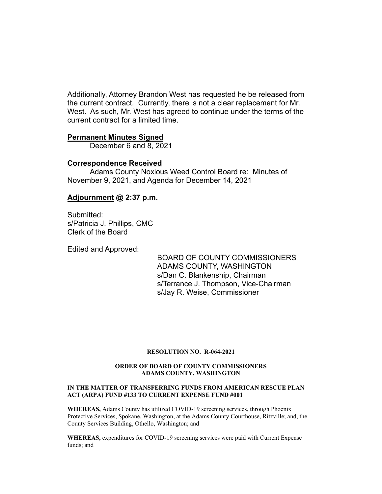Additionally, Attorney Brandon West has requested he be released from the current contract. Currently, there is not a clear replacement for Mr. West. As such, Mr. West has agreed to continue under the terms of the current contract for a limited time.

#### **Permanent Minutes Signed**

December 6 and 8, 2021

#### **Correspondence Received**

 Adams County Noxious Weed Control Board re: Minutes of November 9, 2021, and Agenda for December 14, 2021

### **Adjournment @ 2:37 p.m.**

Submitted: s/Patricia J. Phillips, CMC Clerk of the Board

Edited and Approved:

 BOARD OF COUNTY COMMISSIONERS ADAMS COUNTY, WASHINGTON s/Dan C. Blankenship, Chairman s/Terrance J. Thompson, Vice-Chairman s/Jay R. Weise, Commissioner

#### **RESOLUTION NO. R-064-2021**

#### **ORDER OF BOARD OF COUNTY COMMISSIONERS ADAMS COUNTY, WASHINGTON**

#### **IN THE MATTER OF TRANSFERRING FUNDS FROM AMERICAN RESCUE PLAN ACT (ARPA) FUND #133 TO CURRENT EXPENSE FUND #001**

**WHEREAS,** Adams County has utilized COVID-19 screening services, through Phoenix Protective Services, Spokane, Washington, at the Adams County Courthouse, Ritzville; and, the County Services Building, Othello, Washington; and

**WHEREAS,** expenditures for COVID-19 screening services were paid with Current Expense funds; and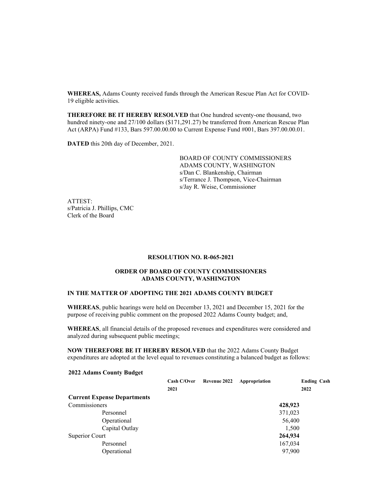**WHEREAS,** Adams County received funds through the American Rescue Plan Act for COVID-19 eligible activities.

**THEREFORE BE IT HEREBY RESOLVED** that One hundred seventy-one thousand, two hundred ninety-one and 27/100 dollars (\$171,291.27) be transferred from American Rescue Plan Act (ARPA) Fund #133, Bars 597.00.00.00 to Current Expense Fund #001, Bars 397.00.00.01.

**DATED** this 20th day of December, 2021.

BOARD OF COUNTY COMMISSIONERS ADAMS COUNTY, WASHINGTON s/Dan C. Blankenship, Chairman s/Terrance J. Thompson, Vice-Chairman s/Jay R. Weise, Commissioner

ATTEST: s/Patricia J. Phillips, CMC Clerk of the Board

#### **RESOLUTION NO. R-065-2021**

#### **ORDER OF BOARD OF COUNTY COMMISSIONERS ADAMS COUNTY, WASHINGTON**

#### **IN THE MATTER OF ADOPTING THE 2021 ADAMS COUNTY BUDGET**

**WHEREAS**, public hearings were held on December 13, 2021 and December 15, 2021 for the purpose of receiving public comment on the proposed 2022 Adams County budget; and,

**WHEREAS**, all financial details of the proposed revenues and expenditures were considered and analyzed during subsequent public meetings;

**NOW THEREFORE BE IT HEREBY RESOLVED** that the 2022 Adams County Budget expenditures are adopted at the level equal to revenues constituting a balanced budget as follows:

#### **2022 Adams County Budget**

|                                    | Cash C/Over | Revenue 2022 | Appropriation | <b>Ending Cash</b> |
|------------------------------------|-------------|--------------|---------------|--------------------|
|                                    | 2021        |              |               | 2022               |
| <b>Current Expense Departments</b> |             |              |               |                    |
| Commissioners                      |             |              |               | 428,923            |
| Personnel                          |             |              |               | 371,023            |
| Operational                        |             |              |               | 56,400             |
| Capital Outlay                     |             |              |               | 1,500              |
| Superior Court                     |             |              |               | 264,934            |
| Personnel                          |             |              |               | 167,034            |
| Operational                        |             |              |               | 97,900             |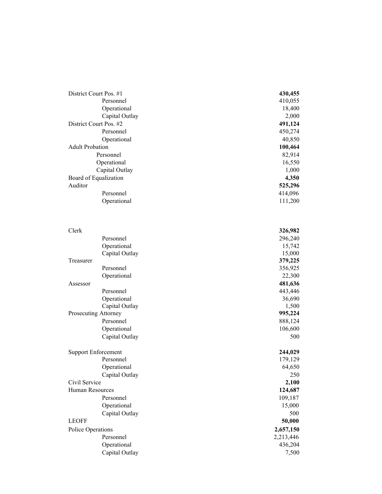| District Court Pos. #1 | 430,455 |  |
|------------------------|---------|--|
| Personnel              | 410,055 |  |
| Operational            | 18,400  |  |
| Capital Outlay         | 2,000   |  |
| District Court Pos. #2 | 491,124 |  |
| Personnel              | 450,274 |  |
| Operational            | 40,850  |  |
| <b>Adult Probation</b> | 100,464 |  |
| Personnel              | 82,914  |  |
| Operational            | 16,550  |  |
| Capital Outlay         | 1,000   |  |
| Board of Equalization  | 4,350   |  |
| Auditor                | 525,296 |  |
| Personnel              | 414,096 |  |
| Operational            | 111,200 |  |

| Clerk             |                               | 326,982          |
|-------------------|-------------------------------|------------------|
|                   | Personnel                     | 296,240          |
|                   | Operational                   | 15,742           |
|                   | Capital Outlay                | 15,000           |
| Treasurer         |                               | 379,225          |
|                   | Personnel                     | 356,925          |
|                   | Operational                   | 22,300           |
| Assessor          |                               | 481,636          |
|                   | Personnel                     | 443,446          |
|                   | Operational                   | 36,690           |
|                   | Capital Outlay                | 1,500            |
|                   | Prosecuting Attorney          | 995,224          |
|                   | Personnel                     | 888,124          |
|                   | Operational                   | 106,600          |
|                   | Capital Outlay                | 500              |
|                   |                               |                  |
|                   | <b>Support Enforcement</b>    | 244,029          |
|                   | Personnel                     | 179,129          |
|                   | Operational                   | 64,650           |
|                   | Capital Outlay                | 250              |
| Civil Service     |                               | 2,100            |
| Human Resources   |                               | 124,687          |
|                   | Personnel                     | 109,187          |
|                   | Operational                   |                  |
|                   |                               | 15,000<br>500    |
| <b>LEOFF</b>      | Capital Outlay                |                  |
|                   |                               | 50,000           |
| Police Operations |                               | 2,657,150        |
|                   | Personnel                     | 2,213,446        |
|                   | Operational<br>Capital Outlay | 436,204<br>7,500 |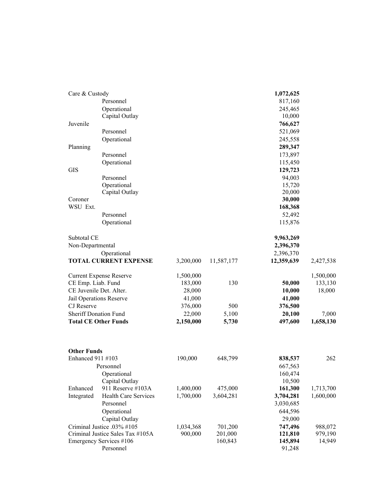| Care & Custody                          |                                |           |            | 1,072,625  |           |
|-----------------------------------------|--------------------------------|-----------|------------|------------|-----------|
|                                         | Personnel                      |           |            | 817,160    |           |
|                                         | Operational                    |           |            | 245,465    |           |
|                                         | Capital Outlay                 |           |            | 10,000     |           |
| Juvenile                                |                                |           |            | 766,627    |           |
|                                         | Personnel                      |           |            | 521,069    |           |
|                                         | Operational                    |           |            | 245,558    |           |
| Planning                                |                                |           |            | 289,347    |           |
|                                         | Personnel                      |           |            | 173,897    |           |
|                                         | Operational                    |           |            | 115,450    |           |
| <b>GIS</b>                              |                                |           |            | 129,723    |           |
|                                         | Personnel                      |           |            | 94,003     |           |
|                                         | Operational                    |           |            | 15,720     |           |
|                                         | Capital Outlay                 |           |            | 20,000     |           |
| Coroner                                 |                                |           |            | 30,000     |           |
| WSU Ext.                                |                                |           |            | 168,368    |           |
|                                         | Personnel                      |           |            | 52,492     |           |
|                                         | Operational                    |           |            | 115,876    |           |
| Subtotal CE                             |                                |           |            | 9,963,269  |           |
| Non-Departmental                        |                                |           |            | 2,396,370  |           |
|                                         | Operational                    |           |            | 2,396,370  |           |
|                                         | <b>TOTAL CURRENT EXPENSE</b>   | 3,200,000 | 11,587,177 | 12,359,639 | 2,427,538 |
|                                         | <b>Current Expense Reserve</b> | 1,500,000 |            |            | 1,500,000 |
| CE Emp. Liab. Fund                      |                                | 183,000   | 130        | 50,000     | 133,130   |
| CE Juvenile Det. Alter.                 |                                | 28,000    |            | 10,000     | 18,000    |
|                                         | Jail Operations Reserve        | 41,000    |            | 41,000     |           |
| CJ Reserve                              |                                | 376,000   | 500        | 376,500    |           |
| <b>Sheriff Donation Fund</b>            |                                | 22,000    | 5,100      | 20,100     | 7,000     |
| <b>Total CE Other Funds</b>             |                                | 2,150,000 | 5,730      | 497,600    | 1,658,130 |
|                                         |                                |           |            |            |           |
| <b>Other Funds</b><br>Enhanced 911 #103 |                                | 190,000   | 648,799    | 838,537    | 262       |
| Personnel                               |                                |           |            | 667,563    |           |
|                                         | Operational                    |           |            | 160,474    |           |
|                                         | Capital Outlay                 |           |            | 10,500     |           |
| Enhanced                                | 911 Reserve #103A              | 1,400,000 | 475,000    | 161,300    | 1,713,700 |
| Integrated                              | Health Care Services           | 1,700,000 | 3,604,281  | 3,704,281  | 1,600,000 |
|                                         | Personnel                      |           |            | 3,030,685  |           |
|                                         | Operational                    |           |            | 644,596    |           |
|                                         | Capital Outlay                 |           |            | 29,000     |           |
|                                         | Criminal Justice .03% #105     | 1,034,368 | 701,200    | 747,496    | 988,072   |
| Criminal Justice Sales Tax #105A        |                                | 900,000   | 201,000    | 121,810    | 979,190   |
| Emergency Services #106                 |                                |           | 160,843    | 145,894    | 14,949    |
| Personnel                               |                                |           |            | 91,248     |           |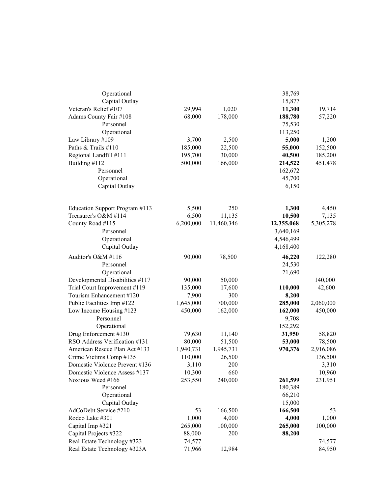| Operational                     |           |            | 38,769     |           |
|---------------------------------|-----------|------------|------------|-----------|
| Capital Outlay                  |           |            | 15,877     |           |
| Veteran's Relief #107           | 29,994    | 1,020      | 11,300     | 19,714    |
| Adams County Fair #108          | 68,000    | 178,000    | 188,780    | 57,220    |
| Personnel                       |           |            | 75,530     |           |
| Operational                     |           |            | 113,250    |           |
| Law Library #109                | 3,700     | 2,500      | 5,000      | 1,200     |
| Paths & Trails #110             | 185,000   | 22,500     | 55,000     | 152,500   |
| Regional Landfill #111          | 195,700   | 30,000     | 40,500     | 185,200   |
| Building #112                   | 500,000   | 166,000    | 214,522    | 451,478   |
| Personnel                       |           |            | 162,672    |           |
| Operational                     |           |            | 45,700     |           |
| Capital Outlay                  |           |            | 6,150      |           |
| Education Support Program #113  | 5,500     | 250        | 1,300      | 4,450     |
| Treasurer's O&M #114            | 6,500     | 11,135     | 10,500     | 7,135     |
| County Road #115                | 6,200,000 | 11,460,346 | 12,355,068 | 5,305,278 |
| Personnel                       |           |            | 3,640,169  |           |
| Operational                     |           |            | 4,546,499  |           |
| Capital Outlay                  |           |            | 4,168,400  |           |
| Auditor's O&M #116              | 90,000    | 78,500     | 46,220     | 122,280   |
| Personnel                       |           |            | 24,530     |           |
| Operational                     |           |            | 21,690     |           |
| Developmental Disabilities #117 | 90,000    | 50,000     |            | 140,000   |
| Trial Court Improvement #119    | 135,000   | 17,600     | 110,000    | 42,600    |
| Tourism Enhancement #120        | 7,900     | 300        | 8,200      |           |
| Public Facilities Imp #122      | 1,645,000 | 700,000    | 285,000    | 2,060,000 |
| Low Income Housing #123         | 450,000   | 162,000    | 162,000    | 450,000   |
| Personnel                       |           |            | 9,708      |           |
| Operational                     |           |            | 152,292    |           |
| Drug Enforcement #130           | 79,630    | 11,140     | 31,950     | 58,820    |
| RSO Address Verification #131   | 80,000    | 51,500     | 53,000     | 78,500    |
| American Rescue Plan Act #133   | 1,940,731 | 1,945,731  | 970,376    | 2,916,086 |
| Crime Victims Comp #135         | 110,000   | 26,500     |            | 136,500   |
| Domestic Violence Prevent #136  | 3,110     | 200        |            | 3,310     |
| Domestic Violence Assess #137   | 10,300    | 660        |            | 10,960    |
| Noxious Weed #166               | 253,550   | 240,000    | 261,599    | 231,951   |
| Personnel                       |           |            | 180,389    |           |
| Operational                     |           |            | 66,210     |           |
| Capital Outlay                  |           |            | 15,000     |           |
| AdCoDebt Service #210           | 53        | 166,500    | 166,500    | 53        |
| Rodeo Lake #301                 | 1,000     | 4,000      | 4,000      | 1,000     |
| Capital Imp #321                | 265,000   | 100,000    | 265,000    | 100,000   |
| Capital Projects #322           | 88,000    | 200        | 88,200     |           |
| Real Estate Technology #323     | 74,577    |            |            | 74,577    |
| Real Estate Technology #323A    | 71,966    | 12,984     |            | 84,950    |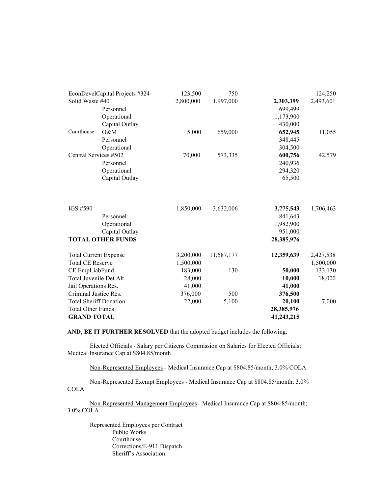| EconDevelCapital Projects #324 |                          | 123,500   | 750        |            | 124,250   |
|--------------------------------|--------------------------|-----------|------------|------------|-----------|
| Solid Waste #401               |                          | 2,800,000 | 1,997,000  | 2,303,399  | 2,493,601 |
|                                | Personnel                |           |            | 699,499    |           |
|                                | Operational              |           |            | 1,173,900  |           |
|                                | Capital Outlay           |           |            | 430,000    |           |
| Courthouse                     | O&M                      | 5,000     | 659,000    | 652,945    | 11,055    |
|                                | Personnel                |           |            | 348,445    |           |
|                                | Operational              |           |            | 304,500    |           |
| Central Services #502          |                          | 70,000    | 573,335    | 600,756    | 42,579    |
|                                | Personnel                |           |            | 240,936    |           |
|                                | Operational              |           |            | 294,320    |           |
|                                | Capital Outlay           |           |            | 65,500     |           |
|                                |                          |           |            |            |           |
| IGS #590                       |                          | 1,850,000 | 3,632,006  | 3,775,543  | 1,706,463 |
|                                | Personnel                |           |            | 841,643    |           |
|                                | Operational              |           |            | 1,982,900  |           |
|                                | Capital Outlay           |           |            | 951,000    |           |
|                                | <b>TOTAL OTHER FUNDS</b> |           |            | 28,385,976 |           |
| <b>Total Current Expense</b>   |                          | 3,200,000 | 11,587,177 | 12,359,639 | 2,427,538 |
| <b>Total CE Reserve</b>        |                          | 1,500,000 |            |            | 1,500,000 |
| CE EmpLiabFund                 |                          | 183,000   | 130        | 50,000     | 133,130   |
| Total Juvenile Det Alt         |                          | 28,000    |            | 10,000     | 18,000    |
| Jail Operations Res.           |                          | 41,000    |            | 41,000     |           |
| Criminal Justice Res.          |                          | 376,000   | 500        | 376,500    |           |
| <b>Total Sheriff Donation</b>  |                          | 22,000    | 5,100      | 20,100     | 7,000     |
| <b>Total Other Funds</b>       |                          |           |            | 28,385,976 |           |
| <b>GRAND TOTAL</b>             |                          |           |            | 41,243,215 |           |

**AND, BE IT FURTHER RESOLVED** that the adopted budget includes the following:

 Elected Officials - Salary per Citizens Commission on Salaries for Elected Officials; Medical Insurance Cap at \$804.85/month

Non-Represented Employees - Medical Insurance Cap at \$804.85/month; 3.0% COLA

Non-Represented Exempt Employees - Medical Insurance Cap at \$804.85/month; 3.0% **COLA** 

Non-Represented Management Employees - Medical Insurance Cap at \$804.85/month; 3.0% COLA

 Represented Employees per Contract Public Works Courthouse Corrections/E-911 Dispatch Sheriff's Association